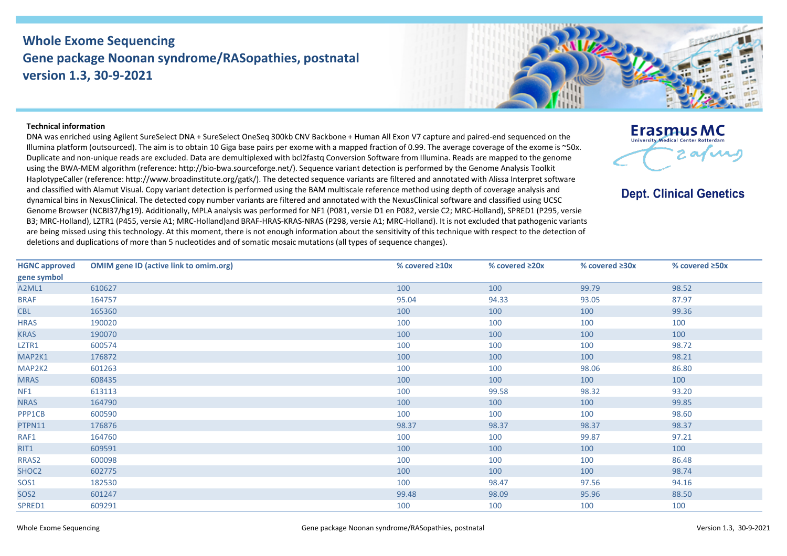## **Whole Exome Sequencing Gene package Noonan syndrome/RASopathies, postnatal version 1.3, 30-9-2021**



## **Technical information**

DNA was enriched using Agilent SureSelect DNA + SureSelect OneSeq 300kb CNV Backbone + Human All Exon V7 capture and paired-end sequenced on the Illumina platform (outsourced). The aim is to obtain 10 Giga base pairs per exome with a mapped fraction of 0.99. The average coverage of the exome is ~50x. Duplicate and non-unique reads are excluded. Data are demultiplexed with bcl2fastq Conversion Software from Illumina. Reads are mapped to the genome using the BWA-MEM algorithm (reference: http://bio-bwa.sourceforge.net/). Sequence variant detection is performed by the Genome Analysis Toolkit HaplotypeCaller (reference: http://www.broadinstitute.org/gatk/). The detected sequence variants are filtered and annotated with Alissa Interpret software and classified with Alamut Visual. Copy variant detection is performed using the BAM multiscale reference method using depth of coverage analysis and dynamical bins in NexusClinical. The detected copy number variants are filtered and annotated with the NexusClinical software and classified using UCSC Genome Browser (NCBI37/hg19). Additionally, MPLA analysis was performed for NF1 (P081, versie D1 en P082, versie C2; MRC-Holland), SPRED1 (P295, versie B3; MRC-Holland), LZTR1 (P455, versie A1; MRC-Holland)and BRAF-HRAS-KRAS-NRAS (P298, versie A1; MRC-Holland). It is not excluded that pathogenic variants are being missed using this technology. At this moment, there is not enough information about the sensitivity of this technique with respect to the detection of deletions and duplications of more than 5 nucleotides and of somatic mosaic mutations (all types of sequence changes).



**Dept. Clinical Genetics** 

| <b>HGNC approved</b> | <b>OMIM gene ID (active link to omim.org)</b> | % covered $\geq 10x$ | % covered ≥20x | % covered ≥30x | % covered ≥50x |
|----------------------|-----------------------------------------------|----------------------|----------------|----------------|----------------|
| gene symbol          |                                               |                      |                |                |                |
| A2ML1                | 610627                                        | 100                  | 100            | 99.79          | 98.52          |
| <b>BRAF</b>          | 164757                                        | 95.04                | 94.33          | 93.05          | 87.97          |
| <b>CBL</b>           | 165360                                        | 100                  | 100            | 100            | 99.36          |
| <b>HRAS</b>          | 190020                                        | 100                  | 100            | 100            | 100            |
| <b>KRAS</b>          | 190070                                        | 100                  | 100            | 100            | 100            |
| LZTR1                | 600574                                        | 100                  | 100            | 100            | 98.72          |
| MAP2K1               | 176872                                        | 100                  | 100            | 100            | 98.21          |
| MAP2K2               | 601263                                        | 100                  | 100            | 98.06          | 86.80          |
| <b>MRAS</b>          | 608435                                        | 100                  | 100            | 100            | 100            |
| NF1                  | 613113                                        | 100                  | 99.58          | 98.32          | 93.20          |
| <b>NRAS</b>          | 164790                                        | 100                  | 100            | 100            | 99.85          |
| PPP1CB               | 600590                                        | 100                  | 100            | 100            | 98.60          |
| PTPN11               | 176876                                        | 98.37                | 98.37          | 98.37          | 98.37          |
| RAF1                 | 164760                                        | 100                  | 100            | 99.87          | 97.21          |
| RIT1                 | 609591                                        | 100                  | 100            | 100            | 100            |
| RRAS2                | 600098                                        | 100                  | 100            | 100            | 86.48          |
| SHOC <sub>2</sub>    | 602775                                        | 100                  | 100            | 100            | 98.74          |
| SOS1                 | 182530                                        | 100                  | 98.47          | 97.56          | 94.16          |
| SOS <sub>2</sub>     | 601247                                        | 99.48                | 98.09          | 95.96          | 88.50          |
| SPRED1               | 609291                                        | 100                  | 100            | 100            | 100            |